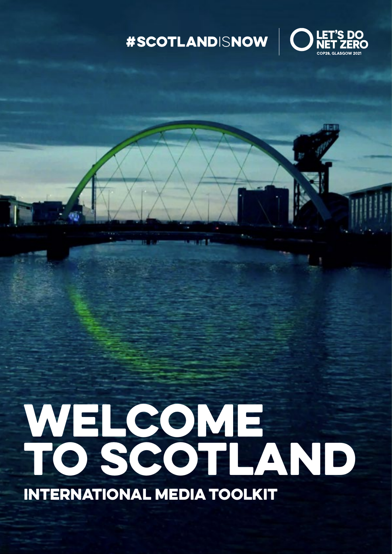## #SCOTLANDISNOW | C



# WELCOME TO SCOTLAND

INTERNATIONAL MEDIA TOOLKIT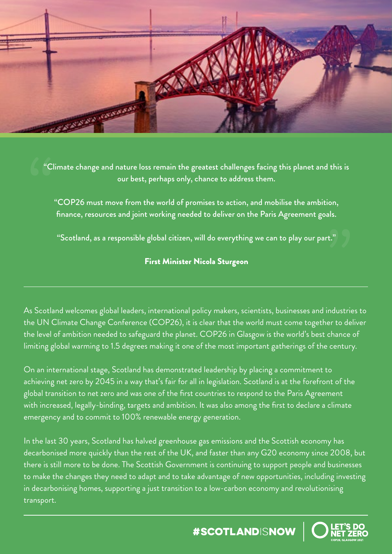

"Climate change and nature loss remain the greatest challenges facing this planet and this is our best, perhaps only, chance to address them.

"COP26 must move from the world of promises to action, and mobilise the ambition, finance, resources and joint working needed to deliver on the Paris Agreement goals.

"Scotland, as a responsible global citizen, will do everything we can to play our part."

#### First Minister Nicola Sturgeon

As Scotland welcomes global leaders, international policy makers, scientists, businesses and industries to the UN Climate Change Conference (COP26), it is clear that the world must come together to deliver the level of ambition needed to safeguard the planet. COP26 in Glasgow is the world's best chance of limiting global warming to 1.5 degrees making it one of the most important gatherings of the century.

On an international stage, Scotland has demonstrated leadership by placing a commitment to achieving net zero by 2045 in a way that's fair for all in legislation. Scotland is at the forefront of the global transition to net zero and was one of the first countries to respond to the Paris Agreement with increased, legally-binding, targets and ambition. It was also among the first to declare a climate emergency and to commit to 100% renewable energy generation.

In the last 30 years, Scotland has halved greenhouse gas emissions and the Scottish economy has decarbonised more quickly than the rest of the UK, and faster than any G20 economy since 2008, but there is still more to be done. The Scottish Government is continuing to support people and businesses to make the changes they need to adapt and to take advantage of new opportunities, including investing in decarbonising homes, supporting a just transition to a low-carbon economy and revolutionising transport.

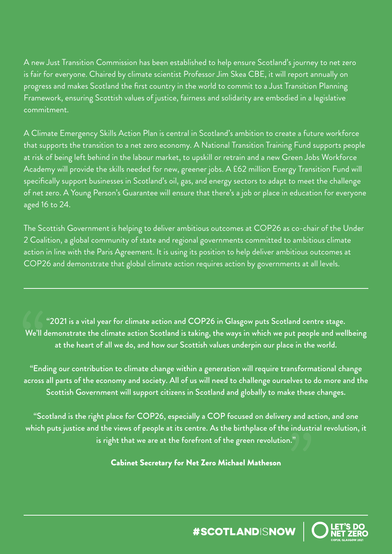A new Just Transition Commission has been established to help ensure Scotland's journey to net zero is fair for everyone. Chaired by climate scientist Professor Jim Skea CBE, it will report annually on progress and makes Scotland the first country in the world to commit to a Just Transition Planning Framework, ensuring Scottish values of justice, fairness and solidarity are embodied in a legislative commitment.

A Climate Emergency Skills Action Plan is central in Scotland's ambition to create a future workforce that supports the transition to a net zero economy. A National Transition Training Fund supports people at risk of being left behind in the labour market, to upskill or retrain and a new Green Jobs Workforce Academy will provide the skills needed for new, greener jobs. A £62 million Energy Transition Fund will specifically support businesses in Scotland's oil, gas, and energy sectors to adapt to meet the challenge of net zero. A Young Person's Guarantee will ensure that there's a job or place in education for everyone aged 16 to 24.

The Scottish Government is helping to deliver ambitious outcomes at COP26 as co-chair of the Under 2 Coalition, a global community of state and regional governments committed to ambitious climate action in line with the Paris Agreement. It is using its position to help deliver ambitious outcomes at COP26 and demonstrate that global climate action requires action by governments at all levels.

"2021 is a vital year for climate action and COP26 in Glasgow puts Scotland centre stage. We'll demonstrate the climate action Scotland is taking, the ways in which we put people and wellbeing at the heart of all we do, and how our Scottish values underpin our place in the world.

"Ending our contribution to climate change within a generation will require transformational change across all parts of the economy and society. All of us will need to challenge ourselves to do more and the Scottish Government will support citizens in Scotland and globally to make these changes.

"Scotland is the right place for COP26, especially a COP focused on delivery and action, and one which puts justice and the views of people at its centre. As the birthplace of the industrial revolution, it is right that we are at the forefront of the green revolution."

Cabinet Secretary for Net Zero Michael Matheson

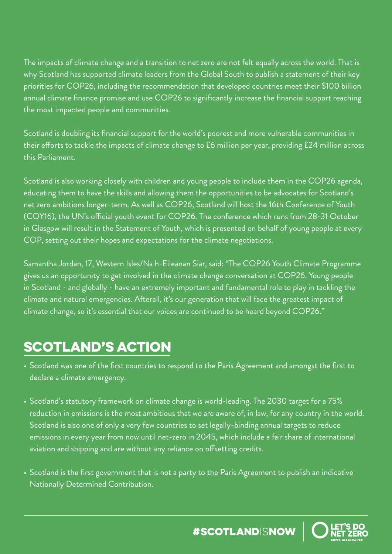The impacts of climate change and a transition to net zero are not felt equally across the world. That is why Scotland has supported climate leaders from the Global South to publish a statement of their key priorities for COP26, including the recommendation that developed countries meet their \$100 billion annual climate finance promise and use COP26 to significantly increase the financial support reaching the most impacted people and communities.

Scotland is doubling its financial support for the world's poorest and more vulnerable communities in their efforts to tackle the impacts of climate change to £6 million per year, providing £24 million across this Parliament.

Scotland is also working closely with children and young people to include them in the COP26 agenda, educating them to have the skills and allowing them the opportunities to be advocates for Scotland's net zero ambitions longer-term. As well as COP26, Scotland will host the 16th Conference of Youth (COY16), the UN's official youth event for COP26. The conference which runs from 28-31 October in Glasgow will result in the Statement of Youth, which is presented on behalf of young people at every COP, setting out their hopes and expectations for the climate negotiations.

Samantha Jordan, 17, Western Isles/Na h-Eileanan Siar, said: "The COP26 Youth Climate Programme gives us an opportunity to get involved in the climate change conversation at COP26. Young people in Scotland - and globally - have an extremely important and fundamental role to play in tackling the climate and natural emergencies. Afterall, it's our generation that will face the greatest impact of climate change, so it's essential that our voices are continued to be heard beyond COP26."

## **SCOTLAND'S ACTION**

- Scotland was one of the first countries to respond to the Paris Agreement and amongst the first to declare a climate emergency.
- Scotland's statutory framework on climate change is world-leading. The 2030 target for a 75% reduction in emissions is the most ambitious that we are aware of, in law, for any country in the world. Scotland is also one of only a very few countries to set legally-binding annual targets to reduce emissions in every year from now until net-zero in 2045, which include a fair share of international aviation and shipping and are without any reliance on offsetting credits.
- Scotland is the first government that is not a party to the Paris Agreement to publish an indicative Nationally Determined Contribution.

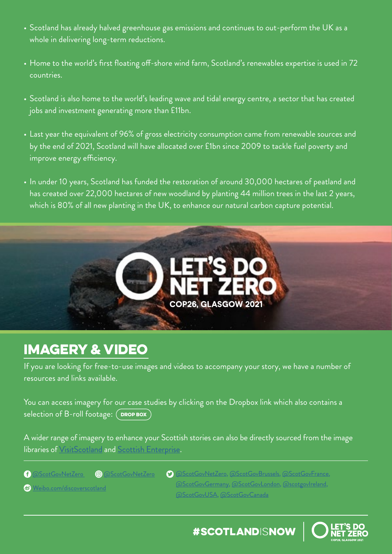- Scotland has already halved greenhouse gas emissions and continues to out-perform the UK as a whole in delivering long-term reductions.
- Home to the world's first floating off-shore wind farm, Scotland's renewables expertise is used in 72 countries.
- Scotland is also home to the world's leading wave and tidal energy centre, a sector that has created jobs and investment generating more than £11bn.
- Last year the equivalent of 96% of gross electricity consumption came from renewable sources and by the end of 2021, Scotland will have allocated over £1bn since 2009 to tackle fuel poverty and improve energy efficiency.
- In under 10 years, Scotland has funded the restoration of around 30,000 hectares of peatland and has created over 22,000 hectares of new woodland by planting 44 million trees in the last 2 years, which is 80% of all new planting in the UK, to enhance our natural carbon capture potential.



### IMAGERY & VIDEO

If you are looking for free-to-use images and videos to accompany your story, we have a number of resources and links available.

You can access imagery for our case studies by clicking on the Dropbox link which also contains a selection of B-roll footage: ( **[DROP BOX](https://www.dropbox.com/sh/191jevvyktxwn49/AACjRp7I5jXirbtI-5BWbuCYa?dl=0)** 

A wider range of imagery to enhance your Scottish stories can also be directly sourced from the image libraries of [VisitScotland](https://www.visitscotland.org/supporting-your-business/marketing/toolkits/photography-imagery) and [Scottish Enterprise](https://www.scottish-enterprise-mediacentre.com/resources).

[Weibo.com/discoverscotland](http://Weibo.com/discoverscotland)

[@ScotGovNetZero](https://www.facebook.com/ScotGovNetZero/) [@ScotGovNetZero](https://www.instagram.com/scotgovnetzero/?hl=en-gb) [@ScotGovNetZero](https://twitter.com/ScotGovNetZero), [@ScotGovBrussels](https://twitter.com/scotgovbrussels?lang=en), [@ScotGovFrance](https://twitter.com/scotgovfrance?lang=en), [@ScotGovGermany,](https://twitter.com/scotgovgermany?lang=en) [@ScotGovLondon](https://twitter.com/scotgovlondon?lang=en), [@scotgovIreland,](https://twitter.com/scotgovireland?lang=en) [@ScotGovUSA](https://twitter.com/scotgovusa?lang=en), [@ScotGovCanada](https://twitter.com/scotgovcanada?lang=en)

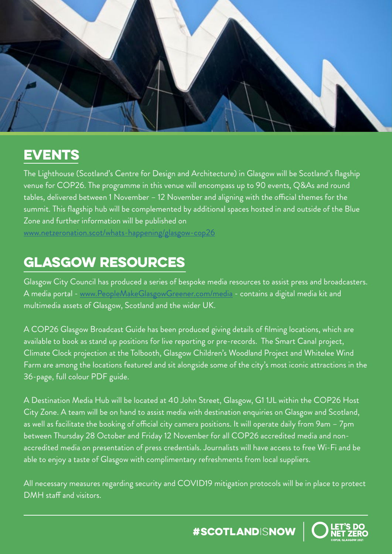

## EVENTS

The Lighthouse (Scotland's Centre for Design and Architecture) in Glasgow will be Scotland's flagship venue for COP26. The programme in this venue will encompass up to 90 events, Q&As and round tables, delivered between 1 November – 12 November and aligning with the official themes for the summit. This flagship hub will be complemented by additional spaces hosted in and outside of the Blue Zone and further information will be published on

[www.netzeronation.scot/whats-happening/glasgow-cop26](https://www.netzeronation.scot/whats-happening/glasgow-cop26)

## GLASGOW RESOURCES

Glasgow City Council has produced a series of bespoke media resources to assist press and broadcasters. A media portal - [www.PeopleMakeGlasgowGreener.com/media](http://www.PeopleMakeGlasgowGreener.com/media) - contains a digital media kit and multimedia assets of Glasgow, Scotland and the wider UK.

A COP26 Glasgow Broadcast Guide has been produced giving details of filming locations, which are available to book as stand up positions for live reporting or pre-records. The Smart Canal project, Climate Clock projection at the Tolbooth, Glasgow Children's Woodland Project and Whitelee Wind Farm are among the locations featured and sit alongside some of the city's most iconic attractions in the 36-page, full colour PDF guide.

A Destination Media Hub will be located at 40 John Street, Glasgow, G1 1JL within the COP26 Host City Zone. A team will be on hand to assist media with destination enquiries on Glasgow and Scotland, as well as facilitate the booking of official city camera positions. It will operate daily from 9am – 7pm between Thursday 28 October and Friday 12 November for all COP26 accredited media and nonaccredited media on presentation of press credentials. Journalists will have access to free Wi-Fi and be able to enjoy a taste of Glasgow with complimentary refreshments from local suppliers.

All necessary measures regarding security and COVID19 mitigation protocols will be in place to protect DMH staff and visitors.

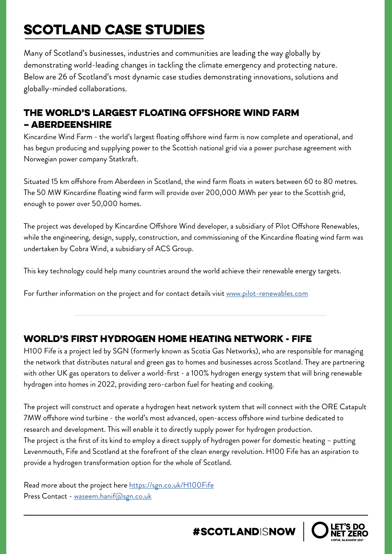## SCOTLAND CASE STUDIES

Many of Scotland's businesses, industries and communities are leading the way globally by demonstrating world-leading changes in tackling the climate emergency and protecting nature. Below are 26 of Scotland's most dynamic case studies demonstrating innovations, solutions and globally-minded collaborations.

#### The world's largest floating offshore wind farm – Aberdeenshire

Kincardine Wind Farm - the world's largest floating offshore wind farm is now complete and operational, and has begun producing and supplying power to the Scottish national grid via a power purchase agreement with Norwegian power company Statkraft.

Situated 15 km offshore from Aberdeen in Scotland, the wind farm floats in waters between 60 to 80 metres. The 50 MW Kincardine floating wind farm will provide over 200,000 MWh per year to the Scottish grid, enough to power over 50,000 homes.

The project was developed by Kincardine Offshore Wind developer, a subsidiary of Pilot Offshore Renewables, while the engineering, design, supply, construction, and commissioning of the Kincardine floating wind farm was undertaken by Cobra Wind, a subsidiary of ACS Group.

This key technology could help many countries around the world achieve their renewable energy targets.

For further information on the project and for contact details visit [www.pilot-renewables.com](http://www.pilot-renewables.com)

#### world's first hydrogen home heating network - fife

H100 Fife is a project led by SGN (formerly known as Scotia Gas Networks), who are responsible for managing the network that distributes natural and green gas to homes and businesses across Scotland. They are partnering with other UK gas operators to deliver a world-first - a 100% hydrogen energy system that will bring renewable hydrogen into homes in 2022, providing zero-carbon fuel for heating and cooking.

The project will construct and operate a hydrogen heat network system that will connect with the ORE Catapult 7MW offshore wind turbine - the world's most advanced, open-access offshore wind turbine dedicated to research and development. This will enable it to directly supply power for hydrogen production. The project is the first of its kind to employ a direct supply of hydrogen power for domestic heating – putting Levenmouth, Fife and Scotland at the forefront of the clean energy revolution. H100 Fife has an aspiration to provide a hydrogen transformation option for the whole of Scotland.

Read more about the project here<https://sgn.co.uk/H100Fife> Press Contact - [waseem.hanif@sgn.co.uk](mailto:waseem.hanif%40sgn.co.uk?subject=)

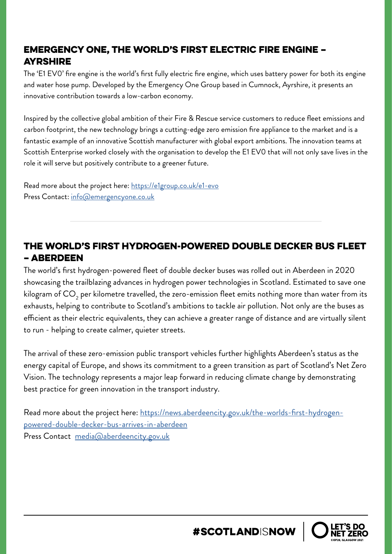#### Emergency One, the world's first electric fire engine – **AYRSHIRE**

The 'E1 EV0' fire engine is the world's first fully electric fire engine, which uses battery power for both its engine and water hose pump. Developed by the Emergency One Group based in Cumnock, Ayrshire, it presents an innovative contribution towards a low-carbon economy.

Inspired by the collective global ambition of their Fire & Rescue service customers to reduce fleet emissions and carbon footprint, the new technology brings a cutting-edge zero emission fire appliance to the market and is a fantastic example of an innovative Scottish manufacturer with global export ambitions. The innovation teams at Scottish Enterprise worked closely with the organisation to develop the E1 EV0 that will not only save lives in the role it will serve but positively contribute to a greener future.

Read more about the project here: <https://e1group.co.uk/e1-evo> Press Contact: [info@emergencyone.co.uk](mailto:info%40emergencyone.co.uk?subject=)

#### The world's first hydrogen-powered double decker bus fleet – Aberdeen

The world's first hydrogen-powered fleet of double decker buses was rolled out in Aberdeen in 2020 showcasing the trailblazing advances in hydrogen power technologies in Scotland. Estimated to save one kilogram of  $\mathsf{CO}_2$  per kilometre travelled, the zero-emission fleet emits nothing more than water from its exhausts, helping to contribute to Scotland's ambitions to tackle air pollution. Not only are the buses as efficient as their electric equivalents, they can achieve a greater range of distance and are virtually silent to run - helping to create calmer, quieter streets.

The arrival of these zero-emission public transport vehicles further highlights Aberdeen's status as the energy capital of Europe, and shows its commitment to a green transition as part of Scotland's Net Zero Vision. The technology represents a major leap forward in reducing climate change by demonstrating best practice for green innovation in the transport industry.

Read more about the project here: [https://news.aberdeencity.gov.uk/the-worlds-first-hydrogen](https://news.aberdeencity.gov.uk/the-worlds-first-hydrogen-powered-double-decker-bus-arrives-in-aberdeen)[powered-double-decker-bus-arrives-in-aberdeen](https://news.aberdeencity.gov.uk/the-worlds-first-hydrogen-powered-double-decker-bus-arrives-in-aberdeen) Press Contact [media@aberdeencity.gov.uk](mailto:media%40aberdeencity.gov.uk?subject=)

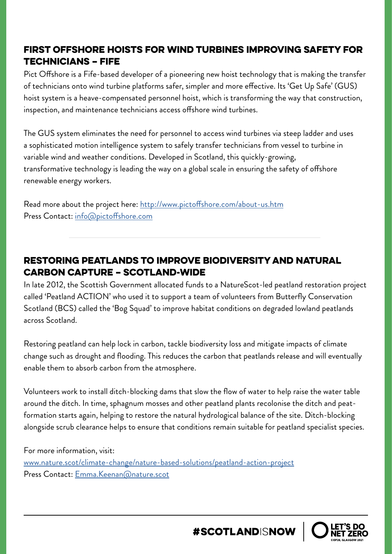#### First offshore hoists for wind turbines improving safety for technicians – Fife

Pict Offshore is a Fife-based developer of a pioneering new hoist technology that is making the transfer of technicians onto wind turbine platforms safer, simpler and more effective. Its 'Get Up Safe' (GUS) hoist system is a heave-compensated personnel hoist, which is transforming the way that construction, inspection, and maintenance technicians access offshore wind turbines.

The GUS system eliminates the need for personnel to access wind turbines via steep ladder and uses a sophisticated motion intelligence system to safely transfer technicians from vessel to turbine in variable wind and weather conditions. Developed in Scotland, this quickly-growing, transformative technology is leading the way on a global scale in ensuring the safety of offshore renewable energy workers.

Read more about the project here: <http://www.pictoffshore.com/about-us.htm> Press Contact: [info@pictoffshore.com](mailto:info%40pictoffshore.com?subject=)

#### Restoring peatlands to improve biodiversity and natural carbon capture – Scotland-wide

In late 2012, the Scottish Government allocated funds to a NatureScot-led peatland restoration project called 'Peatland ACTION' who used it to support a team of volunteers from Butterfly Conservation Scotland (BCS) called the 'Bog Squad' to improve habitat conditions on degraded lowland peatlands across Scotland.

Restoring peatland can help lock in carbon, tackle biodiversity loss and mitigate impacts of climate change such as drought and flooding. This reduces the carbon that peatlands release and will eventually enable them to absorb carbon from the atmosphere.

Volunteers work to install ditch-blocking dams that slow the flow of water to help raise the water table around the ditch. In time, sphagnum mosses and other peatland plants recolonise the ditch and peatformation starts again, helping to restore the natural hydrological balance of the site. Ditch-blocking alongside scrub clearance helps to ensure that conditions remain suitable for peatland specialist species.

For more information, visit: [www.nature.scot/climate-change/nature-based-solutions/peatland-action-project](http://www.nature.scot/climate-change/nature-based-solutions/peatland-action-project)  Press Contact: [Emma.Keenan@nature.scot](mailto:Emma.Keenan%40nature.scot?subject=)

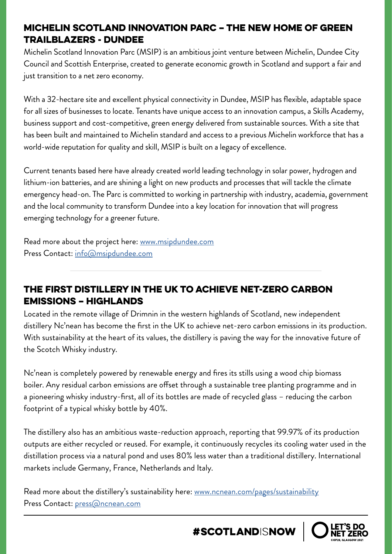#### Michelin Scotland Innovation Parc – the new home of green trailblazers - Dundee

Michelin Scotland Innovation Parc (MSIP) is an ambitious joint venture between Michelin, Dundee City Council and Scottish Enterprise, created to generate economic growth in Scotland and support a fair and just transition to a net zero economy.

With a 32-hectare site and excellent physical connectivity in Dundee, MSIP has flexible, adaptable space for all sizes of businesses to locate. Tenants have unique access to an innovation campus, a Skills Academy, business support and cost-competitive, green energy delivered from sustainable sources. With a site that has been built and maintained to Michelin standard and access to a previous Michelin workforce that has a world-wide reputation for quality and skill, MSIP is built on a legacy of excellence.

Current tenants based here have already created world leading technology in solar power, hydrogen and lithium-ion batteries, and are shining a light on new products and processes that will tackle the climate emergency head-on. The Parc is committed to working in partnership with industry, academia, government and the local community to transform Dundee into a key location for innovation that will progress emerging technology for a greener future.

Read more about the project here: [www.msipdundee.com](http://www.msipdundee.com) Press Contact: i[nfo@msipdundee.com](mailto:info%40msipdundee.com?subject=)

#### The first distillery in the UK to achieve net-zero carbon emissions – Highlands

Located in the remote village of Drimnin in the western highlands of Scotland, new independent distillery Nc'nean has become the first in the UK to achieve net-zero carbon emissions in its production. With sustainability at the heart of its values, the distillery is paving the way for the innovative future of the Scotch Whisky industry.

Nc'nean is completely powered by renewable energy and fires its stills using a wood chip biomass boiler. Any residual carbon emissions are offset through a sustainable tree planting programme and in a pioneering whisky industry-first, all of its bottles are made of recycled glass – reducing the carbon footprint of a typical whisky bottle by 40%.

The distillery also has an ambitious waste-reduction approach, reporting that 99.97% of its production outputs are either recycled or reused. For example, it continuously recycles its cooling water used in the distillation process via a natural pond and uses 80% less water than a traditional distillery. International markets include Germany, France, Netherlands and Italy.

Read more about the distillery's sustainability here: [www.ncnean.com/pages/sustainability](http://www.ncnean.com/pages/sustainability) Press Contact: [press@ncnean.com](mailto:press%40ncnean.com?subject=)

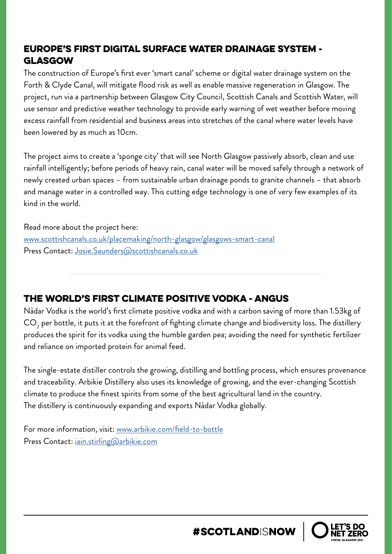#### Europe's first digital surface water drainage system - Glasgow

The construction of Europe's first ever 'smart canal' scheme or digital water drainage system on the Forth & Clyde Canal, will mitigate flood risk as well as enable massive regeneration in Glasgow. The project, run via a partnership between Glasgow City Council, Scottish Canals and Scottish Water, will use sensor and predictive weather technology to provide early warning of wet weather before moving excess rainfall from residential and business areas into stretches of the canal where water levels have been lowered by as much as 10cm.

The project aims to create a 'sponge city' that will see North Glasgow passively absorb, clean and use rainfall intelligently; before periods of heavy rain, canal water will be moved safely through a network of newly created urban spaces – from sustainable urban drainage ponds to granite channels – that absorb and manage water in a controlled way. This cutting edge technology is one of very few examples of its kind in the world.

Read more about the project here: [www.scottishcanals.co.uk/placemaking/north-glasgow/glasgows-smart-canal](http://www.scottishcanals.co.uk/placemaking/north-glasgow/glasgows-smart-canal) Press Contact: [Josie.Saunders@scottishcanals.co.uk](mailto:Josie.Saunders%40scottishcanals.co.uk?subject=)

#### The world's first climate positive vodka - Angus

Nàdar Vodka is the world's first climate positive vodka and with a carbon saving of more than 1.53kg of  $\mathsf{CO}_2$  per bottle, it puts it at the forefront of fighting climate change and biodiversity loss. The distillery produces the spirit for its vodka using the humble garden pea; avoiding the need for synthetic fertilizer and reliance on imported protein for animal feed.

The single-estate distiller controls the growing, distilling and bottling process, which ensures provenance and traceability. Arbikie Distillery also uses its knowledge of growing, and the ever-changing Scottish climate to produce the finest spirits from some of the best agricultural land in the country. The distillery is continuously expanding and exports Nàdar Vodka globally.

For more information, visit: [www.arbikie.com/field-to-bottle](http://www.arbikie.com/field-to-bottle) Press Contact: [iain.stirling@arbikie.com](mailto:iain.stirling%40arbikie.com?subject=)

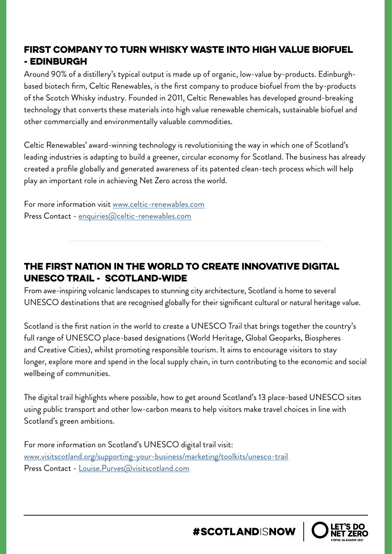#### First company to turn whisky waste into high value biofuel - Edinburgh

Around 90% of a distillery's typical output is made up of organic, low-value by-products. Edinburghbased biotech firm, Celtic Renewables, is the first company to produce biofuel from the by-products of the Scotch Whisky industry. Founded in 2011, Celtic Renewables has developed ground-breaking technology that converts these materials into high value renewable chemicals, sustainable biofuel and other commercially and environmentally valuable commodities.

Celtic Renewables' award-winning technology is revolutionising the way in which one of Scotland's leading industries is adapting to build a greener, circular economy for Scotland. The business has already created a profile globally and generated awareness of its patented clean-tech process which will help play an important role in achieving Net Zero across the world.

For more information visit [www.celtic-renewables.com](http://www.celtic-renewables.com) Press Contact - [enquiries@celtic-renewables.com](mailto:enquiries%40celtic-renewables.com?subject=)

#### The first nation in the world to create innovative digital UNESCO Trail - Scotland-wide

From awe-inspiring volcanic landscapes to stunning city architecture, Scotland is home to several UNESCO destinations that are recognised globally for their significant cultural or natural heritage value.

Scotland is the first nation in the world to create a UNESCO Trail that brings together the country's full range of UNESCO place-based designations (World Heritage, Global Geoparks, Biospheres and Creative Cities), whilst promoting responsible tourism. It aims to encourage visitors to stay longer, explore more and spend in the local supply chain, in turn contributing to the economic and social wellbeing of communities.

The digital trail highlights where possible, how to get around Scotland's 13 place-based UNESCO sites using public transport and other low-carbon means to help visitors make travel choices in line with Scotland's green ambitions.

For more information on Scotland's UNESCO digital trail visit: [www.visitscotland.org/supporting-your-business/marketing/toolkits/unesco-trail](http://www.visitscotland.org/supporting-your-business/marketing/toolkits/unesco-trail) Press Contact - [Louise.Purves@visitscotland.com](mailto:Louise.Purves%40visitscotland.com?subject=)

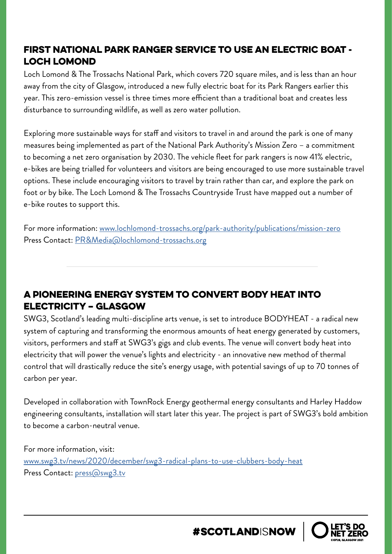#### First National Park Ranger Service to Use An Electric Boat - Loch Lomond

Loch Lomond & The Trossachs National Park, which covers 720 square miles, and is less than an hour away from the city of Glasgow, introduced a new fully electric boat for its Park Rangers earlier this year. This zero-emission vessel is three times more efficient than a traditional boat and creates less disturbance to surrounding wildlife, as well as zero water pollution.

Exploring more sustainable ways for staff and visitors to travel in and around the park is one of many measures being implemented as part of the National Park Authority's Mission Zero – a commitment to becoming a net zero organisation by 2030. The vehicle fleet for park rangers is now 41% electric, e-bikes are being trialled for volunteers and visitors are being encouraged to use more sustainable travel options. These include encouraging visitors to travel by train rather than car, and explore the park on foot or by bike. The Loch Lomond & The Trossachs Countryside Trust have mapped out a number of e-bike routes to support this.

For more information: [www.lochlomond-trossachs.org/park-authority/publications/mission-zero](http://www.lochlomond-trossachs.org/park-authority/publications/mission-zero) Press Contact: [PR&Media@lochlomond-trossachs.org](mailto:PR%26Media%40lochlomond-trossachs.org?subject=)

#### A pioneering energy system to convert body heat into electricity – Glasgow

SWG3, Scotland's leading multi-discipline arts venue, is set to introduce BODYHEAT - a radical new system of capturing and transforming the enormous amounts of heat energy generated by customers, visitors, performers and staff at SWG3's gigs and club events. The venue will convert body heat into electricity that will power the venue's lights and electricity - an innovative new method of thermal control that will drastically reduce the site's energy usage, with potential savings of up to 70 tonnes of carbon per year.

Developed in collaboration with TownRock Energy geothermal energy consultants and Harley Haddow engineering consultants, installation will start later this year. The project is part of SWG3's bold ambition to become a carbon-neutral venue.

For more information, visit: [www.swg3.tv/news/2020/december/swg3-radical-plans-to-use-clubbers-body-heat](http://www.swg3.tv/news/2020/december/swg3-radical-plans-to-use-clubbers-body-heat) Press Contact: [press@swg3.tv](mailto:press%40swg3.tv%20?subject=)

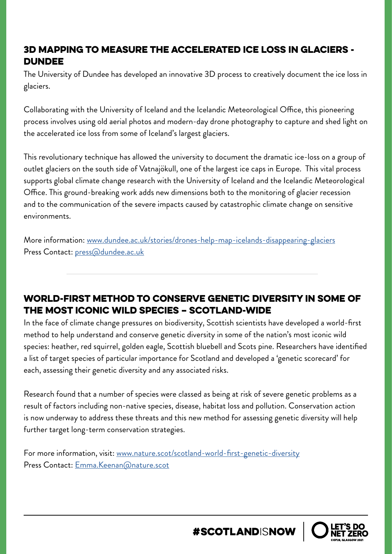#### 3D mapping to measure the accelerated ice loss in glaciers - **DUNDEE**

The University of Dundee has developed an innovative 3D process to creatively document the ice loss in glaciers.

Collaborating with the University of Iceland and the Icelandic Meteorological Office, this pioneering process involves using old aerial photos and modern-day drone photography to capture and shed light on the accelerated ice loss from some of Iceland's largest glaciers.

This revolutionary technique has allowed the university to document the dramatic ice-loss on a group of outlet glaciers on the south side of Vatnajökull, one of the largest ice caps in Europe. This vital process supports global climate change research with the University of Iceland and the Icelandic Meteorological Office. This ground-breaking work adds new dimensions both to the monitoring of glacier recession and to the communication of the severe impacts caused by catastrophic climate change on sensitive environments.

More information: [www.dundee.ac.uk/stories/drones-help-map-icelands-disappearing-glaciers](http://www.dundee.ac.uk/stories/drones-help-map-icelands-disappearing-glaciers) Press Contact: [press@dundee.ac.uk](mailto:press%40dundee.ac.uk?subject=)

#### World-first method to conserve genetic diversity in some of the most iconic wild species – Scotland-wide

In the face of climate change pressures on biodiversity, Scottish scientists have developed a world-first method to help understand and conserve genetic diversity in some of the nation's most iconic wild species: heather, red squirrel, golden eagle, Scottish bluebell and Scots pine. Researchers have identified a list of target species of particular importance for Scotland and developed a 'genetic scorecard' for each, assessing their genetic diversity and any associated risks.

Research found that a number of species were classed as being at risk of severe genetic problems as a result of factors including non-native species, disease, habitat loss and pollution. Conservation action is now underway to address these threats and this new method for assessing genetic diversity will help further target long-term conservation strategies.

For more information, visit: [www.nature.scot/scotland-world-first-genetic-diversity](http://www.nature.scot/scotland-world-first-genetic-diversity) Press Contact: [Emma.Keenan@nature.scot](mailto:Emma.Keenan%40nature.scot?subject=)

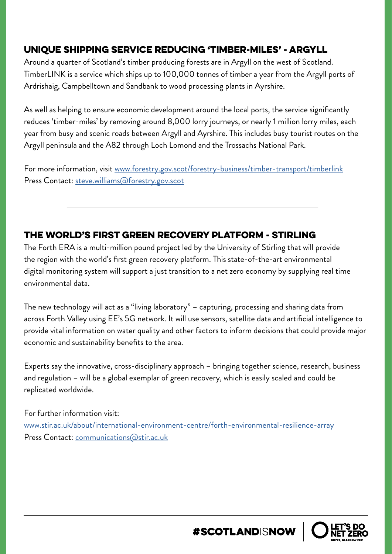#### Unique shipping service reducing 'timber-miles' - Argyll

Around a quarter of Scotland's timber producing forests are in Argyll on the west of Scotland. TimberLINK is a service which ships up to 100,000 tonnes of timber a year from the Argyll ports of Ardrishaig, Campbelltown and Sandbank to wood processing plants in Ayrshire.

As well as helping to ensure economic development around the local ports, the service significantly reduces 'timber-miles' by removing around 8,000 lorry journeys, or nearly 1 million lorry miles, each year from busy and scenic roads between Argyll and Ayrshire. This includes busy tourist routes on the Argyll peninsula and the A82 through Loch Lomond and the Trossachs National Park.

For more information, visit [www.forestry.gov.scot/forestry-business/timber-transport/timberlink](http://www.forestry.gov.scot/forestry-business/timber-transport/timberlink) Press Contact: [steve.williams@forestry.gov.scot](mailto:steve.williams%40forestry.gov.scot?subject=)

#### The world's first green recovery platform - Stirling

The Forth ERA is a multi-million pound project led by the University of Stirling that will provide the region with the world's first green recovery platform. This state-of-the-art environmental digital monitoring system will support a just transition to a net zero economy by supplying real time environmental data.

The new technology will act as a "living laboratory" – capturing, processing and sharing data from across Forth Valley using EE's 5G network. It will use sensors, satellite data and artificial intelligence to provide vital information on water quality and other factors to inform decisions that could provide major economic and sustainability benefits to the area.

Experts say the innovative, cross-disciplinary approach – bringing together science, research, business and regulation – will be a global exemplar of green recovery, which is easily scaled and could be replicated worldwide.

For further information visit: [www.stir.ac.uk/about/international-environment-centre/forth-environmental-resilience-array](http://www.stir.ac.uk/about/international-environment-centre/forth-environmental-resilience-array) Press Contact: [communications@stir.ac.uk](mailto:communications%40stir.ac.uk?subject=)

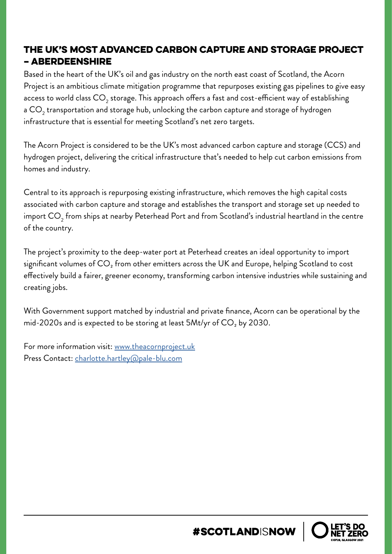#### The UK's most advanced carbon capture and storage project – Aberdeenshire

Based in the heart of the UK's oil and gas industry on the north east coast of Scotland, the Acorn Project is an ambitious climate mitigation programme that repurposes existing gas pipelines to give easy access to world class  $\mathsf{CO}_2$  storage. This approach offers a fast and cost-efficient way of establishing a CO $_{\rm 2}$  transportation and storage hub, unlocking the carbon capture and storage of hydrogen infrastructure that is essential for meeting Scotland's net zero targets.

The Acorn Project is considered to be the UK's most advanced carbon capture and storage (CCS) and hydrogen project, delivering the critical infrastructure that's needed to help cut carbon emissions from homes and industry.

Central to its approach is repurposing existing infrastructure, which removes the high capital costs associated with carbon capture and storage and establishes the transport and storage set up needed to import CO $_{\rm 2}$  from ships at nearby Peterhead Port and from Scotland's industrial heartland in the centre of the country.

The project's proximity to the deep-water port at Peterhead creates an ideal opportunity to import significant volumes of  $CO<sub>2</sub>$  from other emitters across the UK and Europe, helping Scotland to cost effectively build a fairer, greener economy, transforming carbon intensive industries while sustaining and creating jobs.

With Government support matched by industrial and private finance, Acorn can be operational by the mid-2020s and is expected to be storing at least  $5$ Mt/yr of  $CO<sub>2</sub>$  by 2030.

For more information visit: [www.theacornproject.uk](http://www.theacornproject.uk) Press Contact: [charlotte.hartley@pale-blu.com](mailto:charlotte.hartley%40pale-blu.com?subject=)

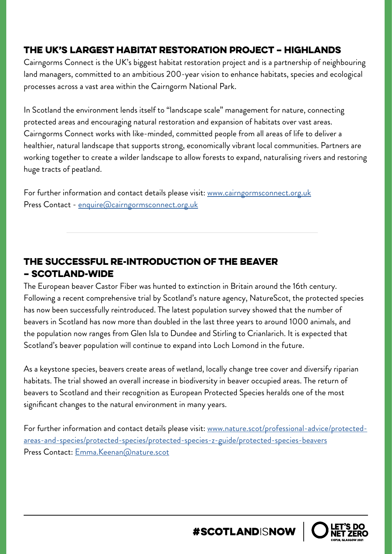#### The UK's largest habitat restoration project – Highlands

Cairngorms Connect is the UK's biggest habitat restoration project and is a partnership of neighbouring land managers, committed to an ambitious 200-year vision to enhance habitats, species and ecological processes across a vast area within the Cairngorm National Park.

In Scotland the environment lends itself to "landscape scale" management for nature, connecting protected areas and encouraging natural restoration and expansion of habitats over vast areas. Cairngorms Connect works with like-minded, committed people from all areas of life to deliver a healthier, natural landscape that supports strong, economically vibrant local communities. Partners are working together to create a wilder landscape to allow forests to expand, naturalising rivers and restoring huge tracts of peatland.

For further information and contact details please visit: [www.cairngormsconnect.org.uk](http://www.cairngormsconnect.org.uk) Press Contact - [enquire@cairngormsconnect.org.uk](http://enquire@cairngormsconnect.org.uk)

#### The successful re-introduction of the beaver – Scotland-wide

The European beaver Castor Fiber was hunted to extinction in Britain around the 16th century. Following a recent comprehensive trial by Scotland's nature agency, NatureScot, the protected species has now been successfully reintroduced. The latest population survey showed that the number of beavers in Scotland has now more than doubled in the last three years to around 1000 animals, and the population now ranges from Glen Isla to Dundee and Stirling to Crianlarich. It is expected that Scotland's beaver population will continue to expand into Loch Lomond in the future.

As a keystone species, beavers create areas of wetland, locally change tree cover and diversify riparian habitats. The trial showed an overall increase in biodiversity in beaver occupied areas. The return of beavers to Scotland and their recognition as European Protected Species heralds one of the most significant changes to the natural environment in many years.

For further information and contact details please visit: [www.nature.scot/professional-advice/protected](http://www.nature.scot/professional-advice/protected-areas-and-species/protected-species/protected-species-z-guide/protected-species-beavers)[areas-and-species/protected-species/protected-species-z-guide/protected-species-beavers](http://www.nature.scot/professional-advice/protected-areas-and-species/protected-species/protected-species-z-guide/protected-species-beavers) Press Contact: [Emma.Keenan@nature.scot](mailto:Emma.Keenan%40nature.scot?subject=)

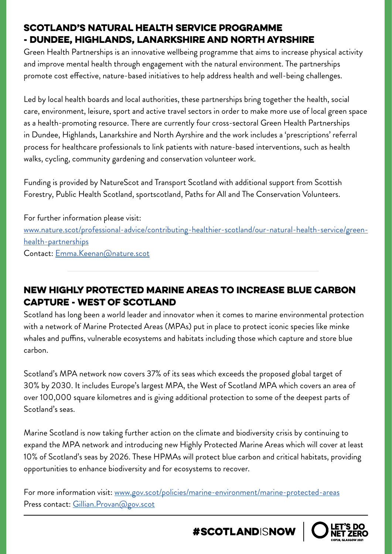#### Scotland's Natural Health Service programme - Dundee, Highlands, Lanarkshire and North Ayrshire

Green Health Partnerships is an innovative wellbeing programme that aims to increase physical activity and improve mental health through engagement with the natural environment. The partnerships promote cost effective, nature-based initiatives to help address health and well-being challenges.

Led by local health boards and local authorities, these partnerships bring together the health, social care, environment, leisure, sport and active travel sectors in order to make more use of local green space as a health-promoting resource. There are currently four cross-sectoral Green Health Partnerships in Dundee, Highlands, Lanarkshire and North Ayrshire and the work includes a 'prescriptions' referral process for healthcare professionals to link patients with nature-based interventions, such as health walks, cycling, community gardening and conservation volunteer work.

Funding is provided by NatureScot and Transport Scotland with additional support from Scottish Forestry, Public Health Scotland, sportscotland, Paths for All and The Conservation Volunteers.

For further information please visit: [www.nature.scot/professional-advice/contributing-healthier-scotland/our-natural-health-service/green](http://www.nature.scot/professional-advice/contributing-healthier-scotland/our-natural-health-service/green-health-partnerships)[health-partnerships](http://www.nature.scot/professional-advice/contributing-healthier-scotland/our-natural-health-service/green-health-partnerships) Contact: [Emma.Keenan@nature.scot](mailto:Emma.Keenan%40nature.scot?subject=)

#### New Highly Protected Marine Areas to increase Blue Carbon Capture - West of Scotland

Scotland has long been a world leader and innovator when it comes to marine environmental protection with a network of Marine Protected Areas (MPAs) put in place to protect iconic species like minke whales and puffins, vulnerable ecosystems and habitats including those which capture and store blue carbon.

Scotland's MPA network now covers 37% of its seas which exceeds the proposed global target of 30% by 2030. It includes Europe's largest MPA, the West of Scotland MPA which covers an area of over 100,000 square kilometres and is giving additional protection to some of the deepest parts of Scotland's seas.

Marine Scotland is now taking further action on the climate and biodiversity crisis by continuing to expand the MPA network and introducing new Highly Protected Marine Areas which will cover at least 10% of Scotland's seas by 2026. These HPMAs will protect blue carbon and critical habitats, providing opportunities to enhance biodiversity and for ecosystems to recover.

For more information visit: [www.gov.scot/policies/marine-environment/marine-protected-areas](http://www.gov.scot/policies/marine-environment/marine-protected-areas) Press contact: [Gillian.Provan@gov.scot](mailto:Gillian.Provan%40gov.scot?subject=)

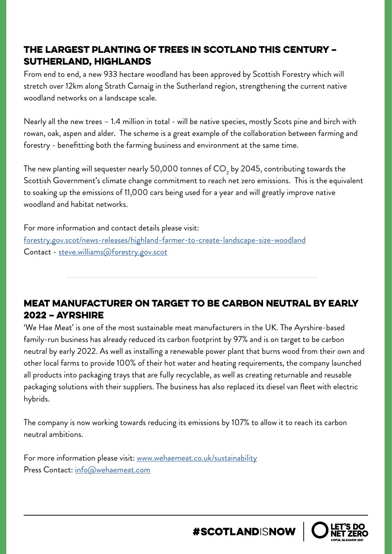#### The largest planting of trees in Scotland this century – Sutherland, Highlands

From end to end, a new 933 hectare woodland has been approved by Scottish Forestry which will stretch over 12km along Strath Carnaig in the Sutherland region, strengthening the current native woodland networks on a landscape scale.

Nearly all the new trees – 1.4 million in total - will be native species, mostly Scots pine and birch with rowan, oak, aspen and alder. The scheme is a great example of the collaboration between farming and forestry - benefitting both the farming business and environment at the same time.

The new planting will sequester nearly 50,000 tonnes of CO<sub>2</sub> by 2045, contributing towards the Scottish Government's climate change commitment to reach net zero emissions. This is the equivalent to soaking up the emissions of 11,000 cars being used for a year and will greatly improve native woodland and habitat networks.

For more information and contact details please visit: [forestry.gov.scot/news-releases/highland-farmer-to-create-landscape-size-woodland](http://www.forestry.gov.scot/news-releases/highland-farmer-to-create-landscape-size-woodland) Contact - [steve.williams@forestry.gov.scot](mailto:steve.williams%40forestry.gov.scot?subject=)

#### Meat manufacturer on target to be carbon neutral by early 2022 – Ayrshire

'We Hae Meat' is one of the most sustainable meat manufacturers in the UK. The Ayrshire-based family-run business has already reduced its carbon footprint by 97% and is on target to be carbon neutral by early 2022. As well as installing a renewable power plant that burns wood from their own and other local farms to provide 100% of their hot water and heating requirements, the company launched all products into packaging trays that are fully recyclable, as well as creating returnable and reusable packaging solutions with their suppliers. The business has also replaced its diesel van fleet with electric hybrids.

The company is now working towards reducing its emissions by 107% to allow it to reach its carbon neutral ambitions.

For more information please visit: [www.wehaemeat.co.uk/sustainability](http://www.wehaemeat.co.uk/sustainability) Press Contact: [info@wehaemeat.com](mailto:info%40wehaemeat.com?subject=)